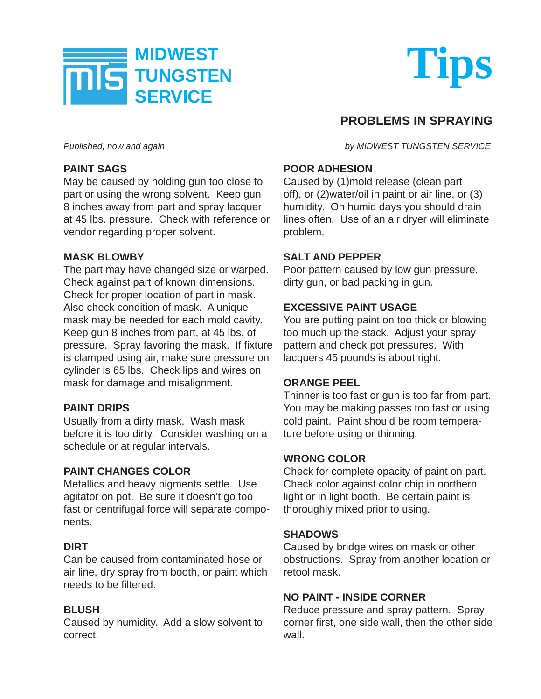



## **PROBLEMS IN SPRAYING**

## **PAINT SAGS**

May be caused by holding gun too close to part or using the wrong solvent. Keep gun 8 inches away from part and spray lacquer at 45 lbs. pressure. Check with reference or vendor regarding proper solvent.

#### **MASK BLOWBY**

The part may have changed size or warped. Check against part of known dimensions. Check for proper location of part in mask. Also check condition of mask. A unique mask may be needed for each mold cavity. Keep gun 8 inches from part, at 45 lbs. of pressure. Spray favoring the mask. If fixture is clamped using air, make sure pressure on cylinder is 65 lbs. Check lips and wires on mask for damage and misalignment.

## **PAINT DRIPS**

Usually from a dirty mask. Wash mask before it is too dirty. Consider washing on a schedule or at regular intervals.

## **PAINT CHANGES COLOR**

Metallics and heavy pigments settle. Use agitator on pot. Be sure it doesn't go too fast or centrifugal force will separate components.

## **DIRT**

Can be caused from contaminated hose or air line, dry spray from booth, or paint which needs to be filtered.

## **BLUSH**

Caused by humidity. Add a slow solvent to correct.

*Published, now and again by MIDWEST TUNGSTEN SERVICE*

## **POOR ADHESION**

Caused by (1)mold release (clean part off), or (2)water/oil in paint or air line, or (3) humidity. On humid days you should drain lines often. Use of an air dryer will eliminate problem.

## **SALT AND PEPPER**

Poor pattern caused by low gun pressure, dirty gun, or bad packing in gun.

## **EXCESSIVE PAINT USAGE**

You are putting paint on too thick or blowing too much up the stack. Adjust your spray pattern and check pot pressures. With lacquers 45 pounds is about right.

## **ORANGE PEEL**

Thinner is too fast or gun is too far from part. You may be making passes too fast or using cold paint. Paint should be room temperature before using or thinning.

## **WRONG COLOR**

Check for complete opacity of paint on part. Check color against color chip in northern light or in light booth. Be certain paint is thoroughly mixed prior to using.

## **SHADOWS**

Caused by bridge wires on mask or other obstructions. Spray from another location or retool mask.

## **NO PAINT - INSIDE CORNER**

Reduce pressure and spray pattern. Spray corner first, one side wall, then the other side wall.